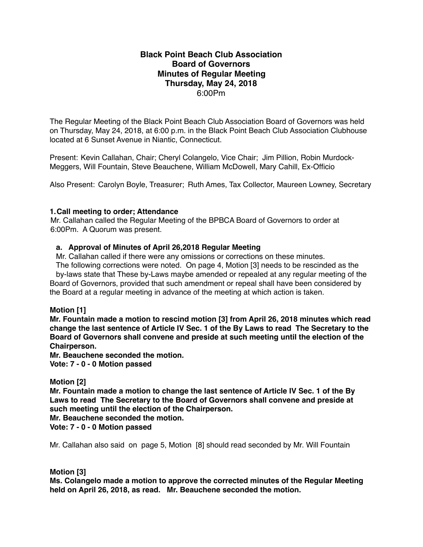# **Black Point Beach Club Association Board of Governors Minutes of Regular Meeting Thursday, May 24, 2018** 6:00Pm

The Regular Meeting of the Black Point Beach Club Association Board of Governors was held on Thursday, May 24, 2018, at 6:00 p.m. in the Black Point Beach Club Association Clubhouse located at 6 Sunset Avenue in Niantic, Connecticut.

Present: Kevin Callahan, Chair; Cheryl Colangelo, Vice Chair; Jim Pillion, Robin Murdock-Meggers, Will Fountain, Steve Beauchene, William McDowell, Mary Cahill, Ex-Officio

Also Present: Carolyn Boyle, Treasurer; Ruth Ames, Tax Collector, Maureen Lowney, Secretary

# **1.Call meeting to order; Attendance**

Mr. Callahan called the Regular Meeting of the BPBCA Board of Governors to order at 6:00Pm. A Quorum was present.

#### **a. Approval of Minutes of April 26,2018 Regular Meeting**

Mr. Callahan called if there were any omissions or corrections on these minutes.

 The following corrections were noted. On page 4, Motion [3] needs to be rescinded as the by-laws state that These by-Laws maybe amended or repealed at any regular meeting of the Board of Governors, provided that such amendment or repeal shall have been considered by the Board at a regular meeting in advance of the meeting at which action is taken.

# **Motion [1]**

**Mr. Fountain made a motion to rescind motion [3] from April 26, 2018 minutes which read change the last sentence of Article IV Sec. 1 of the By Laws to read The Secretary to the Board of Governors shall convene and preside at such meeting until the election of the Chairperson.**

**Mr. Beauchene seconded the motion.**

**Vote: 7 - 0 - 0 Motion passed**

# **Motion [2]**

**Mr. Fountain made a motion to change the last sentence of Article IV Sec. 1 of the By Laws to read The Secretary to the Board of Governors shall convene and preside at such meeting until the election of the Chairperson.**

**Mr. Beauchene seconded the motion.**

**Vote: 7 - 0 - 0 Motion passed**

Mr. Callahan also said on page 5, Motion [8] should read seconded by Mr. Will Fountain

# **Motion [3]**

**Ms. Colangelo made a motion to approve the corrected minutes of the Regular Meeting held on April 26, 2018, as read. Mr. Beauchene seconded the motion.**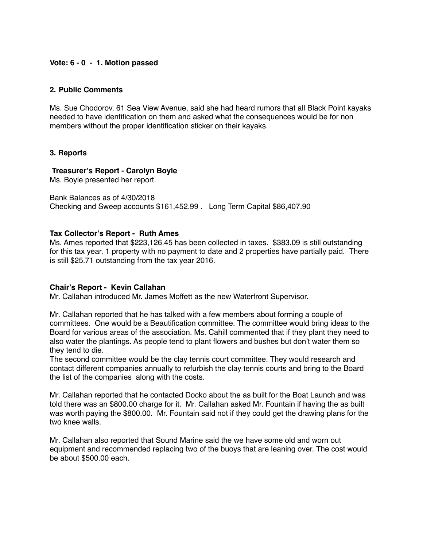# **Vote: 6 - 0 - 1. Motion passed**

#### **2. Public Comments**

Ms. Sue Chodorov, 61 Sea View Avenue, said she had heard rumors that all Black Point kayaks needed to have identification on them and asked what the consequences would be for non members without the proper identification sticker on their kayaks.

# **3. Reports**

# **Treasurer's Report - Carolyn Boyle**

Ms. Boyle presented her report.

Bank Balances as of 4/30/2018 Checking and Sweep accounts \$161,452.99 . Long Term Capital \$86,407.90

# **Tax Collector's Report - Ruth Ames**

Ms. Ames reported that \$223,126.45 has been collected in taxes. \$383.09 is still outstanding for this tax year. 1 property with no payment to date and 2 properties have partially paid. There is still \$25.71 outstanding from the tax year 2016.

#### **Chair's Report - Kevin Callahan**

Mr. Callahan introduced Mr. James Moffett as the new Waterfront Supervisor.

Mr. Callahan reported that he has talked with a few members about forming a couple of committees. One would be a Beautification committee. The committee would bring ideas to the Board for various areas of the association. Ms. Cahill commented that if they plant they need to also water the plantings. As people tend to plant flowers and bushes but don't water them so they tend to die.

The second committee would be the clay tennis court committee. They would research and contact different companies annually to refurbish the clay tennis courts and bring to the Board the list of the companies along with the costs.

Mr. Callahan reported that he contacted Docko about the as built for the Boat Launch and was told there was an \$800.00 charge for it. Mr. Callahan asked Mr. Fountain if having the as built was worth paying the \$800.00. Mr. Fountain said not if they could get the drawing plans for the two knee walls.

Mr. Callahan also reported that Sound Marine said the we have some old and worn out equipment and recommended replacing two of the buoys that are leaning over. The cost would be about \$500.00 each.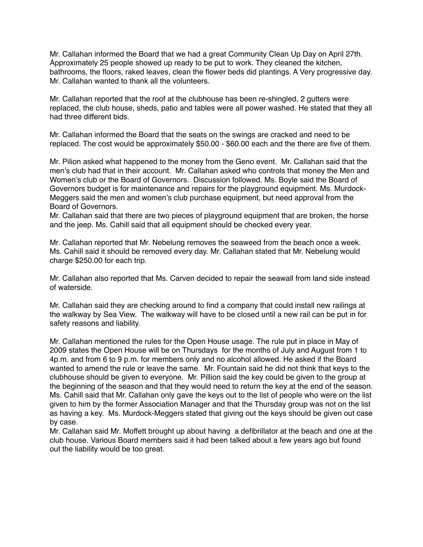Mr. Callahan informed the Board that we had a great Community Clean Up Day on April 27th. Approximately 25 people showed up ready to be put to work. They cleaned the kitchen, bathrooms, the floors, raked leaves, clean the flower beds did plantings. A Very progressive day. Mr. Callahan wanted to thank all the volunteers.

Mr. Callahan reported that the roof at the clubhouse has been re-shingled, 2 gutters were replaced, the club house, sheds, patio and tables were all power washed. He stated that they all had three different bids.

Mr. Callahan informed the Board that the seats on the swings are cracked and need to be replaced. The cost would be approximately \$50.00 - \$60.00 each and the there are five of them.

Mr. Pilion asked what happened to the money from the Geno event. Mr. Callahan said that the men's club had that in their account. Mr. Callahan asked who controls that money the Men and Women's club or the Board of Governors. Discussion followed. Ms. Boyle said the Board of Governors budget is for maintenance and repairs for the playground equipment. Ms. Murdock-Meggers said the men and women's club purchase equipment, but need approval from the Board of Governors.

Mr. Callahan said that there are two pieces of playground equipment that are broken, the horse and the jeep. Ms. Cahill said that all equipment should be checked every year.

Mr. Callahan reported that Mr. Nebelung removes the seaweed from the beach once a week. Ms. Cahill said it should be removed every day. Mr. Callahan stated that Mr. Nebelung would charge \$250.00 for each trip.

Mr. Callahan also reported that Ms. Carven decided to repair the seawall from land side instead of waterside.

Mr. Callahan said they are checking around to find a company that could install new railings at the walkway by Sea View. The walkway will have to be closed until a new rail can be put in for safety reasons and liability.

Mr. Callahan mentioned the rules for the Open House usage. The rule put in place in May of 2009 states the Open House will be on Thursdays for the months of July and August from 1 to 4p.m. and from 6 to 9 p.m. for members only and no alcohol allowed. He asked if the Board wanted to amend the rule or leave the same. Mr. Fountain said he did not think that keys to the clubhouse should be given to everyone. Mr. Pillion said the key could be given to the group at the beginning of the season and that they would need to return the key at the end of the season. Ms. Cahill said that Mr. Callahan only gave the keys out to the list of people who were on the list given to him by the former Association Manager and that the Thursday group was not on the list as having a key. Ms. Murdock-Meggers stated that giving out the keys should be given out case by case.

Mr. Callahan said Mr. Moffett brought up about having a defibrillator at the beach and one at the club house. Various Board members said it had been talked about a few years ago but found out the liability would be too great.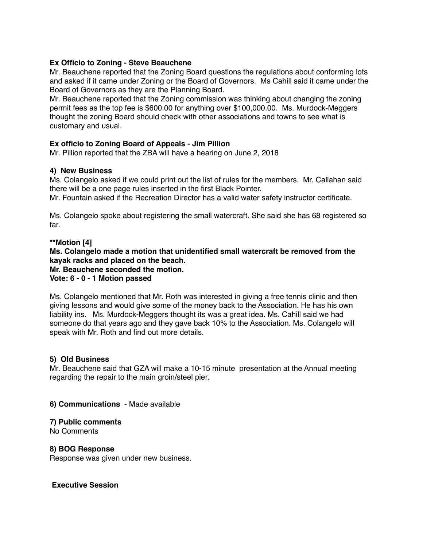# **Ex Officio to Zoning - Steve Beauchene**

Mr. Beauchene reported that the Zoning Board questions the regulations about conforming lots and asked if it came under Zoning or the Board of Governors. Ms Cahill said it came under the Board of Governors as they are the Planning Board.

Mr. Beauchene reported that the Zoning commission was thinking about changing the zoning permit fees as the top fee is \$600.00 for anything over \$100,000.00. Ms. Murdock-Meggers thought the zoning Board should check with other associations and towns to see what is customary and usual.

# **Ex officio to Zoning Board of Appeals - Jim Pillion**

Mr. Pillion reported that the ZBA will have a hearing on June 2, 2018

# **4) New Business**

Ms. Colangelo asked if we could print out the list of rules for the members. Mr. Callahan said there will be a one page rules inserted in the first Black Pointer.

Mr. Fountain asked if the Recreation Director has a valid water safety instructor certificate.

Ms. Colangelo spoke about registering the small watercraft. She said she has 68 registered so far.

# **\*\*Motion [4]**

**Ms. Colangelo made a motion that unidentified small watercraft be removed from the kayak racks and placed on the beach.**

**Mr. Beauchene seconded the motion.**

#### **Vote: 6 - 0 - 1 Motion passed**

Ms. Colangelo mentioned that Mr. Roth was interested in giving a free tennis clinic and then giving lessons and would give some of the money back to the Association. He has his own liability ins. Ms. Murdock-Meggers thought its was a great idea. Ms. Cahill said we had someone do that years ago and they gave back 10% to the Association. Ms. Colangelo will speak with Mr. Roth and find out more details.

# **5) Old Business**

Mr. Beauchene said that GZA will make a 10-15 minute presentation at the Annual meeting regarding the repair to the main groin/steel pier.

# **6) Communications** - Made available

# **7) Public comments**

No Comments

# **8) BOG Response**

Response was given under new business.

#### **Executive Session**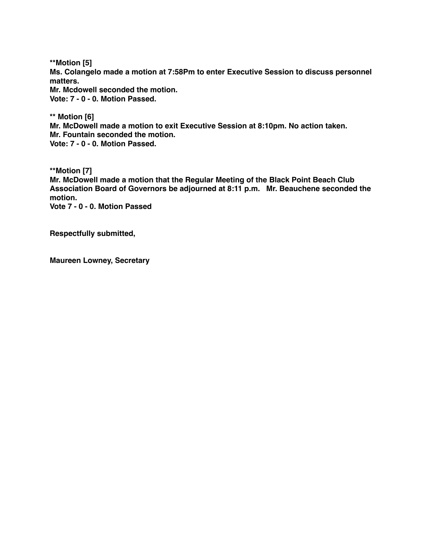**\*\*Motion [5] Ms. Colangelo made a motion at 7:58Pm to enter Executive Session to discuss personnel matters. Mr. Mcdowell seconded the motion.**

**Vote: 7 - 0 - 0. Motion Passed.**

**\*\* Motion [6] Mr. McDowell made a motion to exit Executive Session at 8:10pm. No action taken. Mr. Fountain seconded the motion. Vote: 7 - 0 - 0. Motion Passed.**

**\*\*Motion [7] Mr. McDowell made a motion that the Regular Meeting of the Black Point Beach Club Association Board of Governors be adjourned at 8:11 p.m. Mr. Beauchene seconded the motion. Vote 7 - 0 - 0. Motion Passed**

**Respectfully submitted,**

**Maureen Lowney, Secretary**